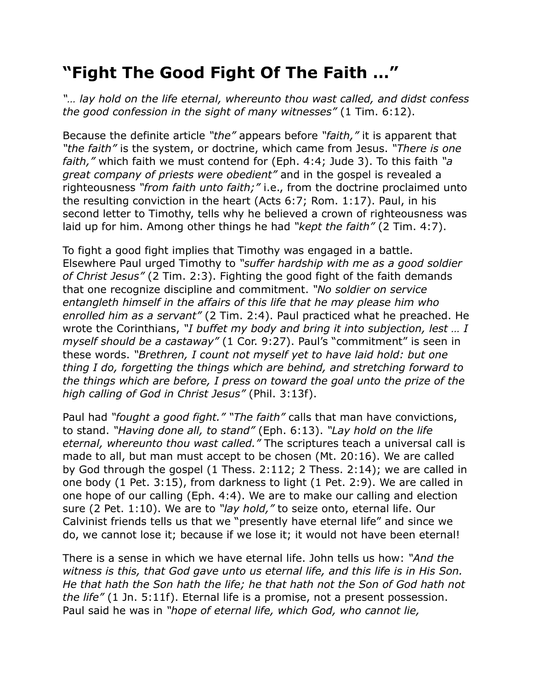## **"Fight The Good Fight Of The Faith …"**

*"… lay hold on the life eternal, whereunto thou wast called, and didst confess the good confession in the sight of many witnesses"* (1 Tim. 6:12).

Because the definite article *"the"* appears before *"faith,"* it is apparent that *"the faith"* is the system, or doctrine, which came from Jesus. *"There is one faith,"* which faith we must contend for (Eph. 4:4; Jude 3). To this faith *"a great company of priests were obedient"* and in the gospel is revealed a righteousness *"from faith unto faith;"* i.e., from the doctrine proclaimed unto the resulting conviction in the heart (Acts 6:7; Rom. 1:17). Paul, in his second letter to Timothy, tells why he believed a crown of righteousness was laid up for him. Among other things he had *"kept the faith"* (2 Tim. 4:7).

To fight a good fight implies that Timothy was engaged in a battle. Elsewhere Paul urged Timothy to *"suffer hardship with me as a good soldier of Christ Jesus"* (2 Tim. 2:3). Fighting the good fight of the faith demands that one recognize discipline and commitment. *"No soldier on service entangleth himself in the affairs of this life that he may please him who enrolled him as a servant"* (2 Tim. 2:4). Paul practiced what he preached. He wrote the Corinthians, *"I buffet my body and bring it into subjection, lest … I myself should be a castaway"* (1 Cor. 9:27). Paul's "commitment" is seen in these words. *"Brethren, I count not myself yet to have laid hold: but one thing I do, forgetting the things which are behind, and stretching forward to the things which are before, I press on toward the goal unto the prize of the high calling of God in Christ Jesus"* (Phil. 3:13f).

Paul had *"fought a good fight." "The faith"* calls that man have convictions, to stand. *"Having done all, to stand"* (Eph. 6:13). *"Lay hold on the life eternal, whereunto thou wast called."* The scriptures teach a universal call is made to all, but man must accept to be chosen (Mt. 20:16). We are called by God through the gospel (1 Thess. 2:112; 2 Thess. 2:14); we are called in one body (1 Pet. 3:15), from darkness to light (1 Pet. 2:9). We are called in one hope of our calling (Eph. 4:4). We are to make our calling and election sure (2 Pet. 1:10). We are to *"lay hold,"* to seize onto, eternal life. Our Calvinist friends tells us that we "presently have eternal life" and since we do, we cannot lose it; because if we lose it; it would not have been eternal!

There is a sense in which we have eternal life. John tells us how: *"And the witness is this, that God gave unto us eternal life, and this life is in His Son. He that hath the Son hath the life; he that hath not the Son of God hath not the life"* (1 Jn. 5:11f). Eternal life is a promise, not a present possession. Paul said he was in *"hope of eternal life, which God, who cannot lie,*